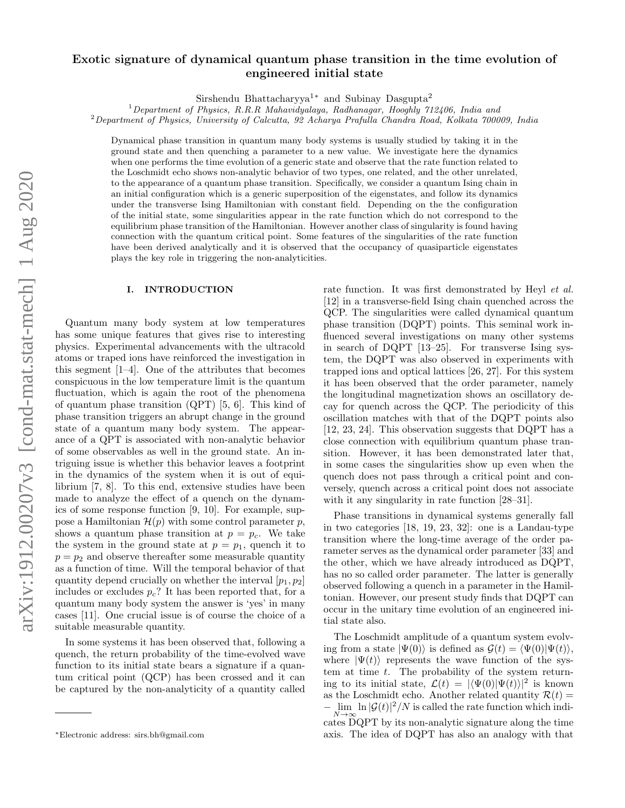# arXiv:1912.00207v3 [cond-mat.stat-mech] 1 Aug 2020 arXiv:1912.00207v3 [cond-mat.stat-mech] 1 Aug 2020

# Exotic signature of dynamical quantum phase transition in the time evolution of engineered initial state

Sirshendu Bhattacharyya1<sup>∗</sup> and Subinay Dasgupta<sup>2</sup>

<sup>1</sup>Department of Physics, R.R.R. Mahavidyalaya, Radhanagar, Hooghly 712406, India and

<sup>2</sup>Department of Physics, University of Calcutta, 92 Acharya Prafulla Chandra Road, Kolkata 700009, India

Dynamical phase transition in quantum many body systems is usually studied by taking it in the ground state and then quenching a parameter to a new value. We investigate here the dynamics when one performs the time evolution of a generic state and observe that the rate function related to the Loschmidt echo shows non-analytic behavior of two types, one related, and the other unrelated, to the appearance of a quantum phase transition. Specifically, we consider a quantum Ising chain in an initial configuration which is a generic superposition of the eigenstates, and follow its dynamics under the transverse Ising Hamiltonian with constant field. Depending on the the configuration of the initial state, some singularities appear in the rate function which do not correspond to the equilibrium phase transition of the Hamiltonian. However another class of singularity is found having connection with the quantum critical point. Some features of the singularities of the rate function have been derived analytically and it is observed that the occupancy of quasiparticle eigenstates plays the key role in triggering the non-analyticities.

### I. INTRODUCTION

Quantum many body system at low temperatures has some unique features that gives rise to interesting physics. Experimental advancements with the ultracold atoms or traped ions have reinforced the investigation in this segment [1–4]. One of the attributes that becomes conspicuous in the low temperature limit is the quantum fluctuation, which is again the root of the phenomena of quantum phase transition (QPT) [5, 6]. This kind of phase transition triggers an abrupt change in the ground state of a quantum many body system. The appearance of a QPT is associated with non-analytic behavior of some observables as well in the ground state. An intriguing issue is whether this behavior leaves a footprint in the dynamics of the system when it is out of equilibrium [7, 8]. To this end, extensive studies have been made to analyze the effect of a quench on the dynamics of some response function [9, 10]. For example, suppose a Hamiltonian  $\mathcal{H}(p)$  with some control parameter p, shows a quantum phase transition at  $p = p_c$ . We take the system in the ground state at  $p = p_1$ , quench it to  $p = p<sub>2</sub>$  and observe thereafter some measurable quantity as a function of time. Will the temporal behavior of that quantity depend crucially on whether the interval  $[p_1, p_2]$ includes or excludes  $p_c$ ? It has been reported that, for a quantum many body system the answer is 'yes' in many cases [11]. One crucial issue is of course the choice of a suitable measurable quantity.

In some systems it has been observed that, following a quench, the return probability of the time-evolved wave function to its initial state bears a signature if a quantum critical point (QCP) has been crossed and it can be captured by the non-analyticity of a quantity called

rate function. It was first demonstrated by Heyl *et al.* [12] in a transverse-field Ising chain quenched across the QCP. The singularities were called dynamical quantum phase transition (DQPT) points. This seminal work influenced several investigations on many other systems in search of DQPT [13–25]. For transverse Ising system, the DQPT was also observed in experiments with trapped ions and optical lattices [26, 27]. For this system it has been observed that the order parameter, namely the longitudinal magnetization shows an oscillatory decay for quench across the QCP. The periodicity of this oscillation matches with that of the DQPT points also [12, 23, 24]. This observation suggests that DQPT has a close connection with equilibrium quantum phase transition. However, it has been demonstrated later that, in some cases the singularities show up even when the quench does not pass through a critical point and conversely, quench across a critical point does not associate with it any singularity in rate function [28–31].

Phase transitions in dynamical systems generally fall in two categories [18, 19, 23, 32]: one is a Landau-type transition where the long-time average of the order parameter serves as the dynamical order parameter [33] and the other, which we have already introduced as DQPT, has no so called order parameter. The latter is generally observed following a quench in a parameter in the Hamiltonian. However, our present study finds that DQPT can occur in the unitary time evolution of an engineered initial state also.

The Loschmidt amplitude of a quantum system evolving from a state  $|\Psi(0)\rangle$  is defined as  $\mathcal{G}(t) = \langle \Psi(0)|\Psi(t)\rangle$ , where  $|\Psi(t)\rangle$  represents the wave function of the system at time  $t$ . The probability of the system returning to its initial state,  $\mathcal{L}(t) = |\langle \Psi(0)|\Psi(t)\rangle|^2$  is known as the Loschmidt echo. Another related quantity  $\mathcal{R}(t) =$  $-\lim_{N\to\infty} \ln |\mathcal{G}(t)|^2/N$  is called the rate function which indicates DQPT by its non-analytic signature along the time axis. The idea of DQPT has also an analogy with that

<sup>∗</sup>Electronic address: sirs.bh@gmail.com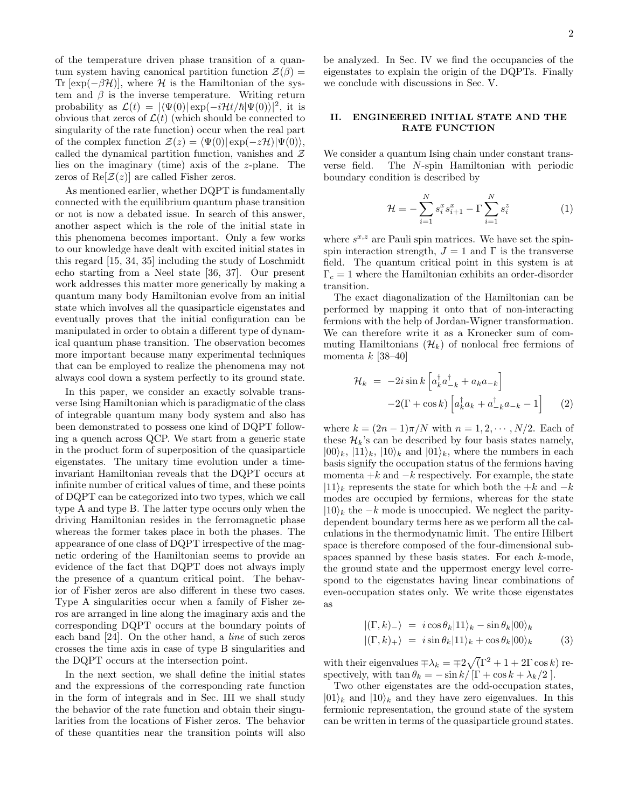of the temperature driven phase transition of a quantum system having canonical partition function  $\mathcal{Z}(\beta) =$ Tr [exp( $-\beta\mathcal{H}$ ], where  $\mathcal H$  is the Hamiltonian of the system and  $\beta$  is the inverse temperature. Writing return probability as  $\mathcal{L}(t) = |\langle \Psi(0)| \exp(-i\mathcal{H}t/\hbar |\Psi(0)\rangle|^2)$ , it is obvious that zeros of  $\mathcal{L}(t)$  (which should be connected to singularity of the rate function) occur when the real part of the complex function  $\mathcal{Z}(z) = \langle \Psi(0)| \exp(-z\mathcal{H})|\Psi(0)\rangle$ , called the dynamical partition function, vanishes and  $\mathcal Z$ lies on the imaginary (time) axis of the z-plane. The zeros of  $\text{Re}[\mathcal{Z}(z)]$  are called Fisher zeros.

As mentioned earlier, whether DQPT is fundamentally connected with the equilibrium quantum phase transition or not is now a debated issue. In search of this answer, another aspect which is the role of the initial state in this phenomena becomes important. Only a few works to our knowledge have dealt with excited initial states in this regard [15, 34, 35] including the study of Loschmidt echo starting from a Neel state [36, 37]. Our present work addresses this matter more generically by making a quantum many body Hamiltonian evolve from an initial state which involves all the quasiparticle eigenstates and eventually proves that the initial configuration can be manipulated in order to obtain a different type of dynamical quantum phase transition. The observation becomes more important because many experimental techniques that can be employed to realize the phenomena may not always cool down a system perfectly to its ground state.

In this paper, we consider an exactly solvable transverse Ising Hamiltonian which is paradigmatic of the class of integrable quantum many body system and also has been demonstrated to possess one kind of DQPT following a quench across QCP. We start from a generic state in the product form of superposition of the quasiparticle eigenstates. The unitary time evolution under a timeinvariant Hamiltonian reveals that the DQPT occurs at infinite number of critical values of time, and these points of DQPT can be categorized into two types, which we call type A and type B. The latter type occurs only when the driving Hamiltonian resides in the ferromagnetic phase whereas the former takes place in both the phases. The appearance of one class of DQPT irrespective of the magnetic ordering of the Hamiltonian seems to provide an evidence of the fact that DQPT does not always imply the presence of a quantum critical point. The behavior of Fisher zeros are also different in these two cases. Type A singularities occur when a family of Fisher zeros are arranged in line along the imaginary axis and the corresponding DQPT occurs at the boundary points of each band [24]. On the other hand, a line of such zeros crosses the time axis in case of type B singularities and the DQPT occurs at the intersection point.

In the next section, we shall define the initial states and the expressions of the corresponding rate function in the form of integrals and in Sec. III we shall study the behavior of the rate function and obtain their singularities from the locations of Fisher zeros. The behavior of these quantities near the transition points will also

be analyzed. In Sec. IV we find the occupancies of the eigenstates to explain the origin of the DQPTs. Finally we conclude with discussions in Sec. V.

# II. ENGINEERED INITIAL STATE AND THE RATE FUNCTION

We consider a quantum Ising chain under constant transverse field. The N-spin Hamiltonian with periodic boundary condition is described by

$$
\mathcal{H} = -\sum_{i=1}^{N} s_i^x s_{i+1}^x - \Gamma \sum_{i=1}^{N} s_i^z \tag{1}
$$

where  $s^{x,z}$  are Pauli spin matrices. We have set the spinspin interaction strength,  $J = 1$  and  $\Gamma$  is the transverse field. The quantum critical point in this system is at  $\Gamma_c = 1$  where the Hamiltonian exhibits an order-disorder transition.

The exact diagonalization of the Hamiltonian can be performed by mapping it onto that of non-interacting fermions with the help of Jordan-Wigner transformation. We can therefore write it as a Kronecker sum of commuting Hamiltonians  $(\mathcal{H}_k)$  of nonlocal free fermions of momenta  $k$  [38–40]

$$
\mathcal{H}_k = -2i \sin k \left[ a_k^{\dagger} a_{-k}^{\dagger} + a_k a_{-k} \right]
$$

$$
-2(\Gamma + \cos k) \left[ a_k^{\dagger} a_k + a_{-k}^{\dagger} a_{-k} - 1 \right] \tag{2}
$$

where  $k = (2n - 1)\pi/N$  with  $n = 1, 2, \cdots, N/2$ . Each of these  $\mathcal{H}_k$ 's can be described by four basis states namely,  $|00\rangle_k, |11\rangle_k, |10\rangle_k$  and  $|01\rangle_k$ , where the numbers in each basis signify the occupation status of the fermions having momenta  $+k$  and  $-k$  respectively. For example, the state  $|11\rangle_k$  represents the state for which both the +k and −k modes are occupied by fermions, whereas for the state  $|10\rangle_k$  the  $-k$  mode is unoccupied. We neglect the paritydependent boundary terms here as we perform all the calculations in the thermodynamic limit. The entire Hilbert space is therefore composed of the four-dimensional subspaces spanned by these basis states. For each k-mode, the ground state and the uppermost energy level correspond to the eigenstates having linear combinations of even-occupation states only. We write those eigenstates as

$$
\begin{aligned} \vert (\Gamma, k)_{-} \rangle &= i \cos \theta_k \vert 11 \rangle_k - \sin \theta_k \vert 00 \rangle_k \\ \vert (\Gamma, k)_{+} \rangle &= i \sin \theta_k \vert 11 \rangle_k + \cos \theta_k \vert 00 \rangle_k \end{aligned} \tag{3}
$$

with their eigenvalues  $\pm \lambda_k = \pm 2\sqrt{(\Gamma^2 + 1 + 2\Gamma \cos k)}$  respectively, with  $\tan \theta_k = -\sin k / [\Gamma + \cos k + \lambda_k / 2].$ 

Two other eigenstates are the odd-occupation states,  $|01\rangle_k$  and  $|10\rangle_k$  and they have zero eigenvalues. In this fermionic representation, the ground state of the system can be written in terms of the quasiparticle ground states.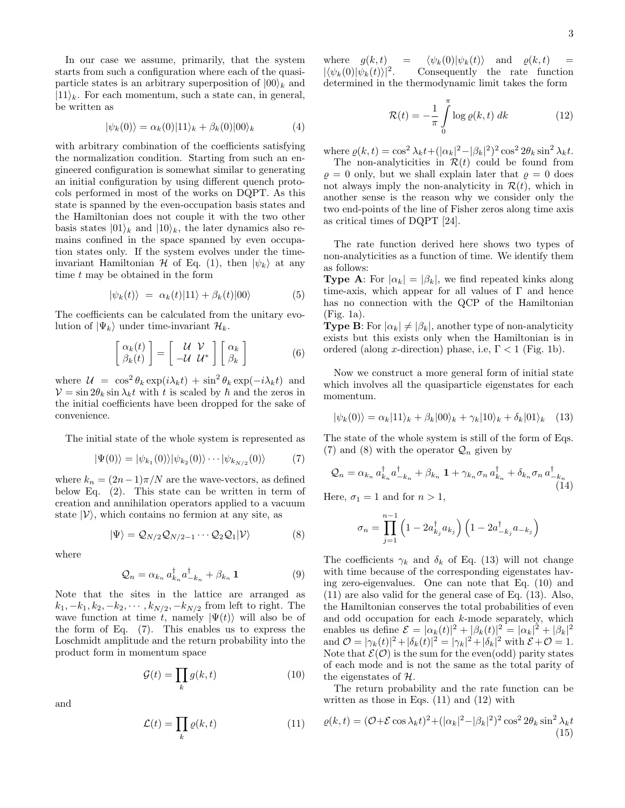$$
|\psi_k(0)\rangle = \alpha_k(0)|11\rangle_k + \beta_k(0)|00\rangle_k \tag{4}
$$

with arbitrary combination of the coefficients satisfying the normalization condition. Starting from such an engineered configuration is somewhat similar to generating an initial configuration by using different quench protocols performed in most of the works on DQPT. As this state is spanned by the even-occupation basis states and the Hamiltonian does not couple it with the two other basis states  $|01\rangle_k$  and  $|10\rangle_k$ , the later dynamics also remains confined in the space spanned by even occupation states only. If the system evolves under the timeinvariant Hamiltonian  $\mathcal H$  of Eq. (1), then  $|\psi_k\rangle$  at any time  $t$  may be obtained in the form

$$
|\psi_k(t)\rangle = \alpha_k(t)|11\rangle + \beta_k(t)|00\rangle \tag{5}
$$

The coefficients can be calculated from the unitary evolution of  $|\Psi_k\rangle$  under time-invariant  $\mathcal{H}_k$ .

$$
\begin{bmatrix} \alpha_k(t) \\ \beta_k(t) \end{bmatrix} = \begin{bmatrix} \mathcal{U} & \mathcal{V} \\ -\mathcal{U} & \mathcal{U}^* \end{bmatrix} \begin{bmatrix} \alpha_k \\ \beta_k \end{bmatrix}
$$
 (6)

where  $\mathcal{U} = \cos^2 \theta_k \exp(i\lambda_k t) + \sin^2 \theta_k \exp(-i\lambda_k t)$  and  $V = \sin 2\theta_k \sin \lambda_k t$  with t is scaled by  $\hbar$  and the zeros in the initial coefficients have been dropped for the sake of convenience.

The initial state of the whole system is represented as

$$
|\Psi(0)\rangle = |\psi_{k_1}(0)\rangle |\psi_{k_2}(0)\rangle \cdots |\psi_{k_{N/2}}(0)\rangle \tag{7}
$$

where  $k_n = (2n-1)\pi/N$  are the wave-vectors, as defined below Eq. (2). This state can be written in term of creation and annihilation operators applied to a vacuum state  $|V\rangle$ , which contains no fermion at any site, as

$$
|\Psi\rangle = \mathcal{Q}_{N/2}\mathcal{Q}_{N/2-1}\cdots\mathcal{Q}_2\mathcal{Q}_1|\mathcal{V}\rangle \tag{8}
$$

where

$$
\mathcal{Q}_n = \alpha_{k_n} a_{k_n}^\dagger a_{-k_n}^\dagger + \beta_{k_n} \mathbf{1}
$$
\n(9)

Note that the sites in the lattice are arranged as  $k_1, -k_1, k_2, -k_2, \cdots, k_{N/2}, -k_{N/2}$  from left to right. The wave function at time t, namely  $|\Psi(t)\rangle$  will also be of the form of Eq. (7). This enables us to express the Loschmidt amplitude and the return probability into the product form in momentum space

$$
\mathcal{G}(t) = \prod_{k} g(k, t) \tag{10}
$$

and

$$
\mathcal{L}(t) = \prod_{k} \varrho(k, t) \tag{11}
$$

where  $g(k, t) = \langle \psi_k(0) | \psi_k(t) \rangle$  and  $\varrho(k, t) =$  $|\langle \psi_k(0)|\psi_k(t)\rangle|^2$ . . Consequently the rate function determined in the thermodynamic limit takes the form

$$
\mathcal{R}(t) = -\frac{1}{\pi} \int_{0}^{\pi} \log \varrho(k, t) \, dk \tag{12}
$$

where  $\rho(k,t) = \cos^2 \lambda_k t + (|\alpha_k|^2 - |\beta_k|^2)^2 \cos^2 2\theta_k \sin^2 \lambda_k t$ .

The non-analyticities in  $\mathcal{R}(t)$  could be found from  $\rho = 0$  only, but we shall explain later that  $\rho = 0$  does not always imply the non-analyticity in  $\mathcal{R}(t)$ , which in another sense is the reason why we consider only the two end-points of the line of Fisher zeros along time axis as critical times of DQPT [24].

The rate function derived here shows two types of non-analyticities as a function of time. We identify them as follows:

**Type A:** For  $|\alpha_k| = |\beta_k|$ , we find repeated kinks along time-axis, which appear for all values of  $\Gamma$  and hence has no connection with the QCP of the Hamiltonian (Fig. 1a).

**Type B:** For  $|\alpha_k| \neq |\beta_k|$ , another type of non-analyticity exists but this exists only when the Hamiltonian is in ordered (along x-direction) phase, i.e,  $\Gamma$  < 1 (Fig. 1b).

Now we construct a more general form of initial state which involves all the quasiparticle eigenstates for each momentum.

$$
|\psi_k(0)\rangle = \alpha_k |11\rangle_k + \beta_k |00\rangle_k + \gamma_k |10\rangle_k + \delta_k |01\rangle_k \quad (13)
$$

The state of the whole system is still of the form of Eqs. (7) and (8) with the operator  $\mathcal{Q}_n$  given by

$$
Q_n = \alpha_{k_n} a_{k_n}^\dagger a_{-k_n}^\dagger + \beta_{k_n} \mathbf{1} + \gamma_{k_n} \sigma_n a_{k_n}^\dagger + \delta_{k_n} \sigma_n a_{-k_n}^\dagger
$$
\n(14)

Here,  $\sigma_1 = 1$  and for  $n > 1$ ,

$$
\sigma_n = \prod_{j=1}^{n-1} \left( 1 - 2a_{k_j}^{\dagger} a_{k_j} \right) \left( 1 - 2a_{-k_j}^{\dagger} a_{-k_j} \right)
$$

The coefficients  $\gamma_k$  and  $\delta_k$  of Eq. (13) will not change with time because of the corresponding eigenstates having zero-eigenvalues. One can note that Eq. (10) and (11) are also valid for the general case of Eq. (13). Also, the Hamiltonian conserves the total probabilities of even and odd occupation for each k-mode separately, which enables us define  $\mathcal{E} = |\alpha_k(t)|^2 + |\beta_k(t)|^2 = |\alpha_k|^2 + |\beta_k|^2$ and  $\mathcal{O} = |\gamma_k(t)|^2 + |\delta_k(t)|^2 = |\gamma_k|^2 + |\delta_k|^2$  with  $\mathcal{E} + \mathcal{O} = 1$ . Note that  $\mathcal{E}(\mathcal{O})$  is the sum for the even(odd) parity states of each mode and is not the same as the total parity of the eigenstates of H.

The return probability and the rate function can be written as those in Eqs.  $(11)$  and  $(12)$  with

$$
\varrho(k,t) = (\mathcal{O} + \mathcal{E}\cos\lambda_k t)^2 + (|\alpha_k|^2 - |\beta_k|^2)^2 \cos^2 2\theta_k \sin^2 \lambda_k t
$$
\n(15)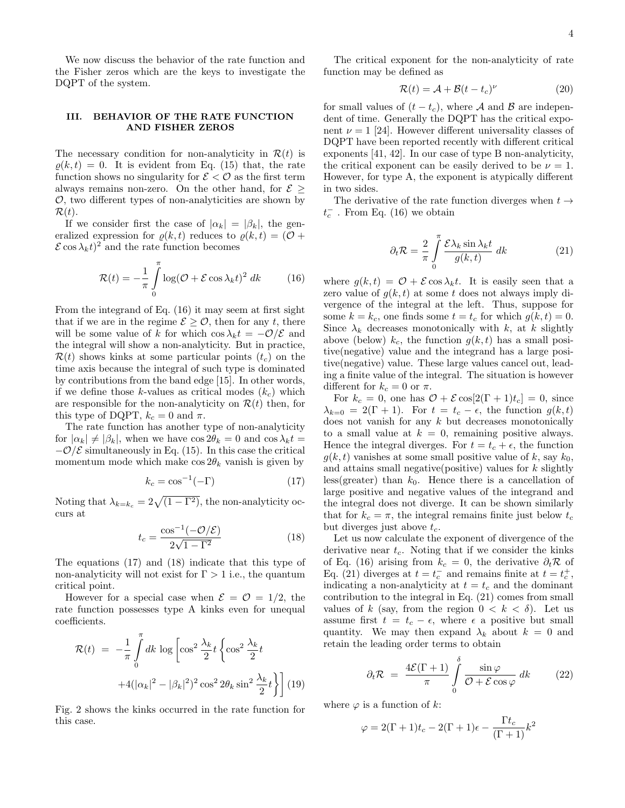We now discuss the behavior of the rate function and the Fisher zeros which are the keys to investigate the DQPT of the system.

# III. BEHAVIOR OF THE RATE FUNCTION AND FISHER ZEROS

The necessary condition for non-analyticity in  $\mathcal{R}(t)$  is  $\rho(k, t) = 0$ . It is evident from Eq. (15) that, the rate function shows no singularity for  $\mathcal{E} < \mathcal{O}$  as the first term always remains non-zero. On the other hand, for  $\mathcal{E}$  >  $\mathcal{O}$ , two different types of non-analyticities are shown by  $\mathcal{R}(t)$ .

If we consider first the case of  $|\alpha_k| = |\beta_k|$ , the generalized expression for  $\rho(k, t)$  reduces to  $\rho(k, t) = (\mathcal{O} +$  $\mathcal{E} \cos \lambda_k t$ <sup>2</sup> and the rate function becomes

$$
\mathcal{R}(t) = -\frac{1}{\pi} \int_{0}^{\pi} \log(\mathcal{O} + \mathcal{E} \cos \lambda_k t)^2 \, dk \qquad (16)
$$

From the integrand of Eq. (16) it may seem at first sight that if we are in the regime  $\mathcal{E} \geq \mathcal{O}$ , then for any t, there will be some value of k for which cos  $\lambda_k t = -\mathcal{O}/\mathcal{E}$  and the integral will show a non-analyticity. But in practice,  $\mathcal{R}(t)$  shows kinks at some particular points  $(t_c)$  on the time axis because the integral of such type is dominated by contributions from the band edge [15]. In other words, if we define those k-values as critical modes  $(k_c)$  which are responsible for the non-analyticity on  $\mathcal{R}(t)$  then, for this type of DQPT,  $k_c = 0$  and  $\pi$ .

The rate function has another type of non-analyticity for  $|\alpha_k| \neq |\beta_k|$ , when we have  $\cos 2\theta_k = 0$  and  $\cos \lambda_k t =$  $-\mathcal{O}/\mathcal{E}$  simultaneously in Eq. (15). In this case the critical momentum mode which make  $\cos 2\theta_k$  vanish is given by

$$
k_c = \cos^{-1}(-\Gamma) \tag{17}
$$

Noting that  $\lambda_{k=k_c} = 2\sqrt{(1 - \Gamma^2)}$ , the non-analyticity occurs at

$$
t_c = \frac{\cos^{-1}(-\mathcal{O}/\mathcal{E})}{2\sqrt{1 - \Gamma^2}}\tag{18}
$$

The equations (17) and (18) indicate that this type of non-analyticity will not exist for  $\Gamma > 1$  i.e., the quantum critical point.

However for a special case when  $\mathcal{E} = \mathcal{O} = 1/2$ , the rate function possesses type A kinks even for unequal coefficients.

$$
\mathcal{R}(t) = -\frac{1}{\pi} \int_{0}^{\pi} dk \log \left[ \cos^2 \frac{\lambda_k}{2} t \left\{ \cos^2 \frac{\lambda_k}{2} t + 4(|\alpha_k|^2 - |\beta_k|^2)^2 \cos^2 2\theta_k \sin^2 \frac{\lambda_k}{2} t \right\} \right] (19)
$$

Fig. 2 shows the kinks occurred in the rate function for this case.

The critical exponent for the non-analyticity of rate function may be defined as

$$
\mathcal{R}(t) = \mathcal{A} + \mathcal{B}(t - t_c)^{\nu}
$$
 (20)

for small values of  $(t - t_c)$ , where A and B are independent of time. Generally the DQPT has the critical exponent  $\nu = 1$  [24]. However different universality classes of DQPT have been reported recently with different critical exponents [41, 42]. In our case of type B non-analyticity, the critical exponent can be easily derived to be  $\nu = 1$ . However, for type A, the exponent is atypically different in two sides.

The derivative of the rate function diverges when  $t \rightarrow$  $t_c^-$  . From Eq. (16) we obtain

$$
\partial_t \mathcal{R} = \frac{2}{\pi} \int\limits_0^\pi \frac{\mathcal{E} \lambda_k \sin \lambda_k t}{g(k, t)} \, dk \tag{21}
$$

where  $g(k, t) = \mathcal{O} + \mathcal{E} \cos \lambda_k t$ . It is easily seen that a zero value of  $q(k, t)$  at some t does not always imply divergence of the integral at the left. Thus, suppose for some  $k = k_c$ , one finds some  $t = t_c$  for which  $g(k, t) = 0$ . Since  $\lambda_k$  decreases monotonically with k, at k slightly above (below)  $k_c$ , the function  $g(k, t)$  has a small positive(negative) value and the integrand has a large positive(negative) value. These large values cancel out, leading a finite value of the integral. The situation is however different for  $k_c = 0$  or  $\pi$ .

For  $k_c = 0$ , one has  $\mathcal{O} + \mathcal{E} \cos[2(\Gamma + 1)t_c] = 0$ , since  $\lambda_{k=0} = 2(\Gamma + 1)$ . For  $t = t_c - \epsilon$ , the function  $g(k, t)$ does not vanish for any  $k$  but decreases monotonically to a small value at  $k = 0$ , remaining positive always. Hence the integral diverges. For  $t = t_c + \epsilon$ , the function  $g(k, t)$  vanishes at some small positive value of k, say  $k_0$ , and attains small negative(positive) values for  $k$  slightly less(greater) than  $k_0$ . Hence there is a cancellation of large positive and negative values of the integrand and the integral does not diverge. It can be shown similarly that for  $k_c = \pi$ , the integral remains finite just below  $t_c$ but diverges just above  $t_c$ .

Let us now calculate the exponent of divergence of the derivative near  $t_c$ . Noting that if we consider the kinks of Eq. (16) arising from  $k_c = 0$ , the derivative  $\partial_t \mathcal{R}$  of Eq. (21) diverges at  $t = t_c^-$  and remains finite at  $t = t_c^+$ , indicating a non-analyticity at  $t = t_c$  and the dominant contribution to the integral in Eq. (21) comes from small values of k (say, from the region  $0 < k < \delta$ ). Let us assume first  $t = t_c - \epsilon$ , where  $\epsilon$  a positive but small quantity. We may then expand  $\lambda_k$  about  $k = 0$  and retain the leading order terms to obtain

$$
\partial_t \mathcal{R} = \frac{4\mathcal{E}(\Gamma + 1)}{\pi} \int_0^{\delta} \frac{\sin \varphi}{\mathcal{O} + \mathcal{E} \cos \varphi} dk \qquad (22)
$$

where  $\varphi$  is a function of k:

$$
\varphi = 2(\Gamma + 1)t_c - 2(\Gamma + 1)\epsilon - \frac{\Gamma t_c}{(\Gamma + 1)}k^2
$$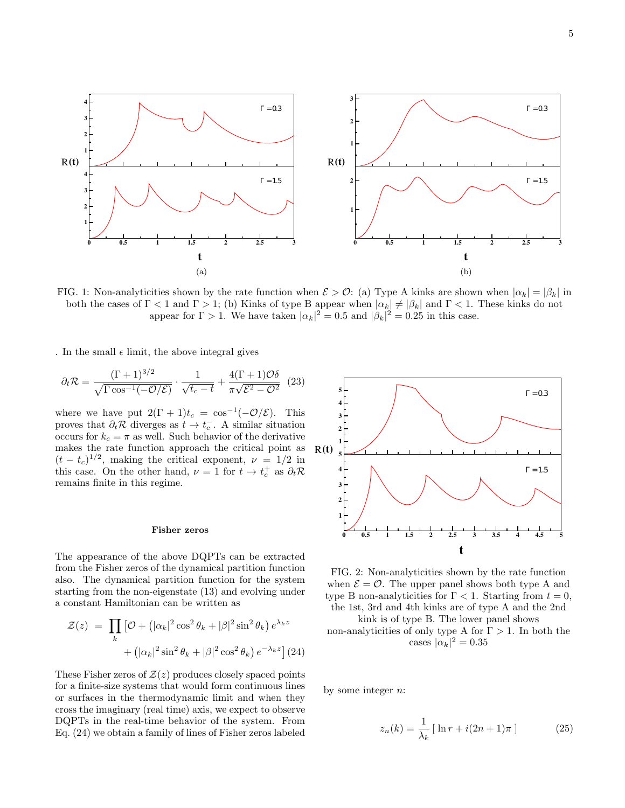

FIG. 1: Non-analyticities shown by the rate function when  $\mathcal{E} > \mathcal{O}$ : (a) Type A kinks are shown when  $|\alpha_k| = |\beta_k|$  in both the cases of  $\Gamma$  < 1 and  $\Gamma$  > 1; (b) Kinks of type B appear when  $|\alpha_k| \neq |\beta_k|$  and  $\Gamma$  < 1. These kinks do not appear for  $\Gamma > 1$ . We have taken  $|\alpha_k|^2 = 0.5$  and  $|\beta_k|^2 = 0.25$  in this case.

. In the small  $\epsilon$  limit, the above integral gives

$$
\partial_t \mathcal{R} = \frac{(\Gamma + 1)^{3/2}}{\sqrt{\Gamma \cos^{-1}(-\mathcal{O}/\mathcal{E})}} \cdot \frac{1}{\sqrt{t_c - t}} + \frac{4(\Gamma + 1)\mathcal{O}\delta}{\pi\sqrt{\mathcal{E}^2 - \mathcal{O}^2}} \tag{23}
$$

where we have put  $2(\Gamma + 1)t_c = \cos^{-1}(-\mathcal{O}/\mathcal{E})$ . This proves that  $\partial_t \mathcal{R}$  diverges as  $t \to t_c^-$ . A similar situation occurs for  $k_c = \pi$  as well. Such behavior of the derivative makes the rate function approach the critical point as  $(t - t_c)^{1/2}$ , making the critical exponent,  $\nu = 1/2$  in this case. On the other hand,  $\nu = 1$  for  $t \to t_c^+$  as  $\partial_t \mathcal{R}$ remains finite in this regime.

### Fisher zeros

The appearance of the above DQPTs can be extracted from the Fisher zeros of the dynamical partition function also. The dynamical partition function for the system starting from the non-eigenstate (13) and evolving under a constant Hamiltonian can be written as

$$
\mathcal{Z}(z) = \prod_k \left[ \mathcal{O} + \left( |\alpha_k|^2 \cos^2 \theta_k + |\beta|^2 \sin^2 \theta_k \right) e^{\lambda_k z} + \left( |\alpha_k|^2 \sin^2 \theta_k + |\beta|^2 \cos^2 \theta_k \right) e^{-\lambda_k z} \right] (24)
$$

These Fisher zeros of  $\mathcal{Z}(z)$  produces closely spaced points for a finite-size systems that would form continuous lines or surfaces in the thermodynamic limit and when they cross the imaginary (real time) axis, we expect to observe DQPTs in the real-time behavior of the system. From Eq. (24) we obtain a family of lines of Fisher zeros labeled



FIG. 2: Non-analyticities shown by the rate function when  $\mathcal{E} = \mathcal{O}$ . The upper panel shows both type A and type B non-analyticities for  $\Gamma < 1$ . Starting from  $t = 0$ , the 1st, 3rd and 4th kinks are of type A and the 2nd

kink is of type B. The lower panel shows non-analyticities of only type A for  $\Gamma > 1$ . In both the

cases  $|\alpha_k|^2 = 0.35$ 

by some integer  $n$ :

$$
z_n(k) = \frac{1}{\lambda_k} \left[ \ln r + i(2n+1)\pi \right] \tag{25}
$$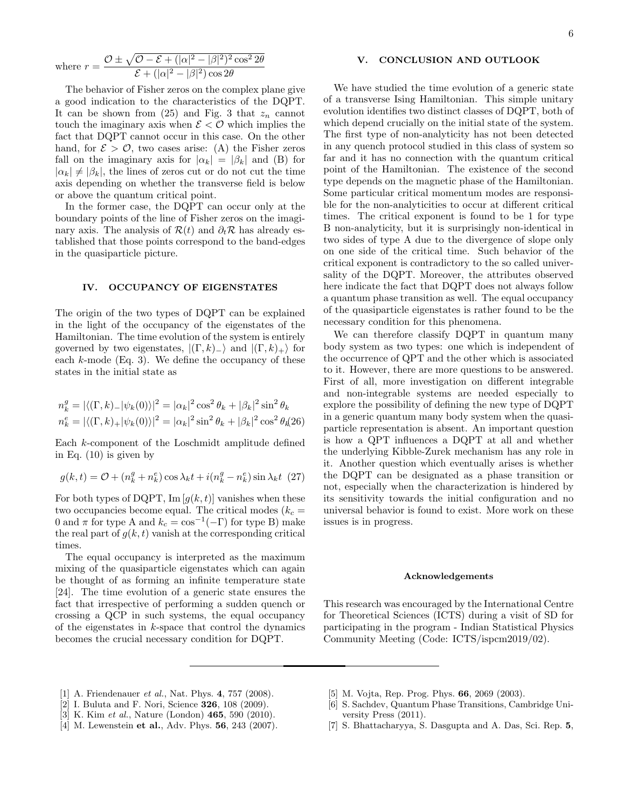where 
$$
r = \frac{\mathcal{O} \pm \sqrt{\mathcal{O} - \mathcal{E} + (|\alpha|^2 - |\beta|^2)^2 \cos^2 2\theta}}{\mathcal{E} + (|\alpha|^2 - |\beta|^2) \cos 2\theta}
$$

The behavior of Fisher zeros on the complex plane give a good indication to the characteristics of the DQPT. It can be shown from  $(25)$  and Fig. 3 that  $z_n$  cannot touch the imaginary axis when  $\mathcal{E} < \mathcal{O}$  which implies the fact that DQPT cannot occur in this case. On the other hand, for  $\mathcal{E} > \mathcal{O}$ , two cases arise: (A) the Fisher zeros fall on the imaginary axis for  $|\alpha_k| = |\beta_k|$  and (B) for  $|\alpha_k| \neq |\beta_k|$ , the lines of zeros cut or do not cut the time axis depending on whether the transverse field is below or above the quantum critical point.

In the former case, the DQPT can occur only at the boundary points of the line of Fisher zeros on the imaginary axis. The analysis of  $\mathcal{R}(t)$  and  $\partial_t \mathcal{R}$  has already established that those points correspond to the band-edges in the quasiparticle picture.

### IV. OCCUPANCY OF EIGENSTATES

The origin of the two types of DQPT can be explained in the light of the occupancy of the eigenstates of the Hamiltonian. The time evolution of the system is entirely governed by two eigenstates,  $|(\Gamma, k)_{-}\rangle$  and  $|(\Gamma, k)_{+}\rangle$  for each  $k$ -mode (Eq. 3). We define the occupancy of these states in the initial state as

$$
n_k^g = |\langle (\Gamma, k) - |\psi_k(0) \rangle|^2 = |\alpha_k|^2 \cos^2 \theta_k + |\beta_k|^2 \sin^2 \theta_k
$$
  

$$
n_k^e = |\langle (\Gamma, k) + |\psi_k(0) \rangle|^2 = |\alpha_k|^2 \sin^2 \theta_k + |\beta_k|^2 \cos^2 \theta_k
$$

Each k-component of the Loschmidt amplitude defined in Eq. (10) is given by

$$
g(k,t) = \mathcal{O} + (n_k^g + n_k^e) \cos \lambda_k t + i(n_k^g - n_k^e) \sin \lambda_k t
$$
 (27)

For both types of DQPT, Im  $[g(k, t)]$  vanishes when these two occupancies become equal. The critical modes ( $k_c$  = 0 and  $\pi$  for type A and  $k_c = \cos^{-1}(-\Gamma)$  for type B) make the real part of  $g(k, t)$  vanish at the corresponding critical times.

The equal occupancy is interpreted as the maximum mixing of the quasiparticle eigenstates which can again be thought of as forming an infinite temperature state [24]. The time evolution of a generic state ensures the fact that irrespective of performing a sudden quench or crossing a QCP in such systems, the equal occupancy of the eigenstates in  $k$ -space that control the dynamics becomes the crucial necessary condition for DQPT.

# V. CONCLUSION AND OUTLOOK

We have studied the time evolution of a generic state of a transverse Ising Hamiltonian. This simple unitary evolution identifies two distinct classes of DQPT, both of which depend crucially on the initial state of the system. The first type of non-analyticity has not been detected in any quench protocol studied in this class of system so far and it has no connection with the quantum critical point of the Hamiltonian. The existence of the second type depends on the magnetic phase of the Hamiltonian. Some particular critical momentum modes are responsible for the non-analyticities to occur at different critical times. The critical exponent is found to be 1 for type B non-analyticity, but it is surprisingly non-identical in two sides of type A due to the divergence of slope only on one side of the critical time. Such behavior of the critical exponent is contradictory to the so called universality of the DQPT. Moreover, the attributes observed here indicate the fact that DQPT does not always follow a quantum phase transition as well. The equal occupancy of the quasiparticle eigenstates is rather found to be the necessary condition for this phenomena.

We can therefore classify DQPT in quantum many body system as two types: one which is independent of the occurrence of QPT and the other which is associated to it. However, there are more questions to be answered. First of all, more investigation on different integrable and non-integrable systems are needed especially to explore the possibility of defining the new type of DQPT in a generic quantum many body system when the quasiparticle representation is absent. An important question is how a QPT influences a DQPT at all and whether the underlying Kibble-Zurek mechanism has any role in it. Another question which eventually arises is whether the DQPT can be designated as a phase transition or not, especially when the characterization is hindered by its sensitivity towards the initial configuration and no universal behavior is found to exist. More work on these issues is in progress.

## Acknowledgements

This research was encouraged by the International Centre for Theoretical Sciences (ICTS) during a visit of SD for participating in the program - Indian Statistical Physics Community Meeting (Code: ICTS/ispcm2019/02).

- [1] A. Friendenauer *et al.*, Nat. Phys. 4, 757 (2008).
- [2] I. Buluta and F. Nori, Science 326, 108 (2009).
- [3] K. Kim et al., Nature (London) **465**, 590 (2010).
- [4] M. Lewenstein et al., Adv. Phys. **56**, 243 (2007).
- [5] M. Vojta, Rep. Prog. Phys. 66, 2069 (2003).
- [6] S. Sachdev, Quantum Phase Transitions, Cambridge University Press (2011).
- [7] S. Bhattacharyya, S. Dasgupta and A. Das, Sci. Rep. 5,